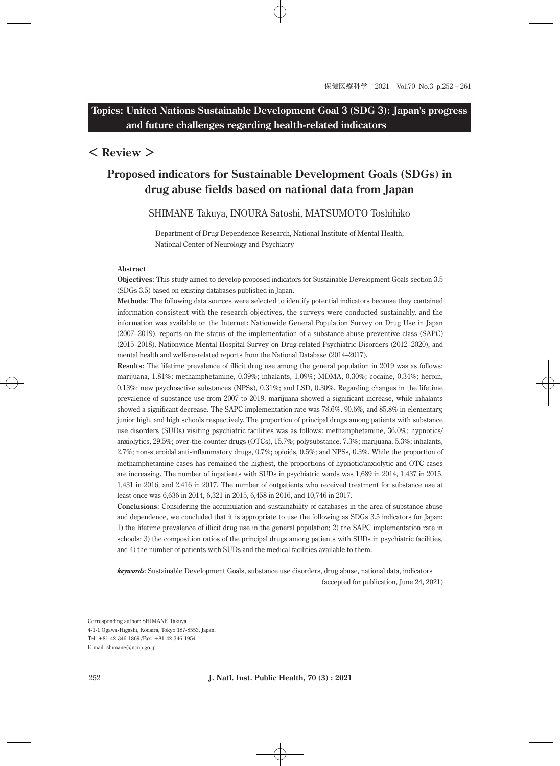# **Topics: United Nations Sustainable Development Goal 3 (SDG 3): Japan's progress and future challenges regarding health-related indicators**

# **< Review >**

# **Proposed indicators for Sustainable Development Goals (SDGs) in drug abuse fields based on national data from Japan**

# SHIMANE Takuya, INOURA Satoshi, MATSUMOTO Toshihiko

Department of Drug Dependence Research, National Institute of Mental Health, National Center of Neurology and Psychiatry

#### **Abstract**

**Objectives**: This study aimed to develop proposed indicators for Sustainable Development Goals section 3.5 (SDGs 3.5) based on existing databases published in Japan.

**Methods**: The following data sources were selected to identify potential indicators because they contained information consistent with the research objectives, the surveys were conducted sustainably, and the information was available on the Internet: Nationwide General Population Survey on Drug Use in Japan (2007–2019), reports on the status of the implementation of a substance abuse preventive class (SAPC) (2015–2018), Nationwide Mental Hospital Survey on Drug-related Psychiatric Disorders (2012–2020), and mental health and welfare-related reports from the National Database (2014–2017).

**Results**: The lifetime prevalence of illicit drug use among the general population in 2019 was as follows: marijuana, 1.81%; methamphetamine, 0.39%; inhalants, 1.09%; MDMA, 0.30%; cocaine, 0.34%; heroin, 0.13%; new psychoactive substances (NPSs), 0.31%; and LSD, 0.30%. Regarding changes in the lifetime prevalence of substance use from 2007 to 2019, marijuana showed a significant increase, while inhalants showed a significant decrease. The SAPC implementation rate was 78.6%, 90.6%, and 85.8% in elementary, junior high, and high schools respectively. The proportion of principal drugs among patients with substance use disorders (SUDs) visiting psychiatric facilities was as follows: methamphetamine, 36.0%; hypnotics/ anxiolytics, 29.5%; over-the-counter drugs (OTCs), 15.7%; polysubstance, 7.3%; marijuana, 5.3%; inhalants, 2.7%; non-steroidal anti-inflammatory drugs, 0.7%; opioids, 0.5%; and NPSs, 0.3%. While the proportion of methamphetamine cases has remained the highest, the proportions of hypnotic/anxiolytic and OTC cases are increasing. The number of inpatients with SUDs in psychiatric wards was 1,689 in 2014, 1,437 in 2015, 1,431 in 2016, and 2,416 in 2017. The number of outpatients who received treatment for substance use at least once was 6,636 in 2014, 6,321 in 2015, 6,458 in 2016, and 10,746 in 2017.

**Conclusions**: Considering the accumulation and sustainability of databases in the area of substance abuse and dependence, we concluded that it is appropriate to use the following as SDGs 3.5 indicators for Japan: 1) the lifetime prevalence of illicit drug use in the general population; 2) the SAPC implementation rate in schools; 3) the composition ratios of the principal drugs among patients with SUDs in psychiatric facilities, and 4) the number of patients with SUDs and the medical facilities available to them.

*keywords*: Sustainable Development Goals, substance use disorders, drug abuse, national data, indicators (accepted for publication, June 24, 2021)

Corresponding author: SHIMANE Takuya

<sup>4-1-1</sup> Ogawa-Higashi, Kodaira, Tokyo 187-8553, Japan.

Tel: +81-42-346-1869 /Fax: +81-42-346-1954

E-mail: shimane@ncnp.go.jp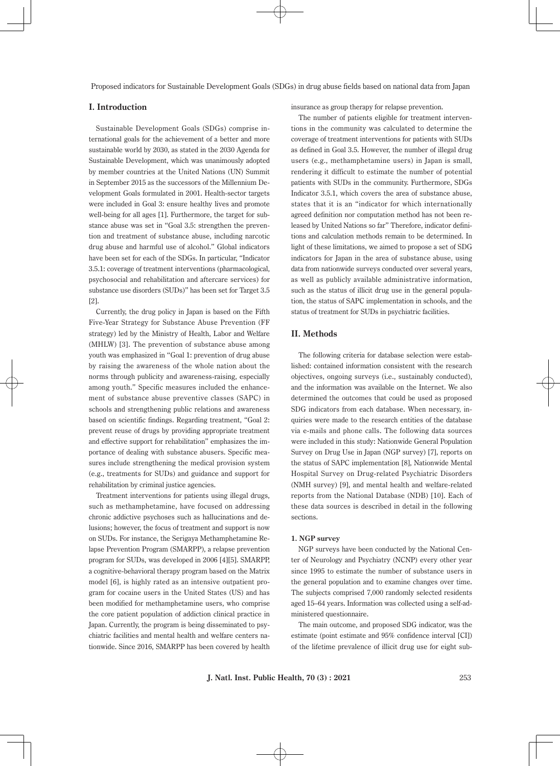# **I. Introduction**

Sustainable Development Goals (SDGs) comprise international goals for the achievement of a better and more sustainable world by 2030, as stated in the 2030 Agenda for Sustainable Development, which was unanimously adopted by member countries at the United Nations (UN) Summit in September 2015 as the successors of the Millennium Development Goals formulated in 2001. Health-sector targets were included in Goal 3: ensure healthy lives and promote well-being for all ages [1]. Furthermore, the target for substance abuse was set in "Goal 3.5: strengthen the prevention and treatment of substance abuse, including narcotic drug abuse and harmful use of alcohol." Global indicators have been set for each of the SDGs. In particular, "Indicator 3.5.1: coverage of treatment interventions (pharmacological, psychosocial and rehabilitation and aftercare services) for substance use disorders (SUDs)" has been set for Target 3.5 [2].

Currently, the drug policy in Japan is based on the Fifth Five-Year Strategy for Substance Abuse Prevention (FF strategy) led by the Ministry of Health, Labor and Welfare (MHLW) [3]. The prevention of substance abuse among youth was emphasized in "Goal 1: prevention of drug abuse by raising the awareness of the whole nation about the norms through publicity and awareness-raising, especially among youth." Specific measures included the enhancement of substance abuse preventive classes (SAPC) in schools and strengthening public relations and awareness based on scientific findings. Regarding treatment, "Goal 2: prevent reuse of drugs by providing appropriate treatment and effective support for rehabilitation" emphasizes the importance of dealing with substance abusers. Specific measures include strengthening the medical provision system (e.g., treatments for SUDs) and guidance and support for rehabilitation by criminal justice agencies.

Treatment interventions for patients using illegal drugs, such as methamphetamine, have focused on addressing chronic addictive psychoses such as hallucinations and delusions; however, the focus of treatment and support is now on SUDs. For instance, the Serigaya Methamphetamine Relapse Prevention Program (SMARPP), a relapse prevention program for SUDs, was developed in 2006 [4][5]. SMARPP, a cognitive-behavioral therapy program based on the Matrix model [6], is highly rated as an intensive outpatient program for cocaine users in the United States (US) and has been modified for methamphetamine users, who comprise the core patient population of addiction clinical practice in Japan. Currently, the program is being disseminated to psychiatric facilities and mental health and welfare centers nationwide. Since 2016, SMARPP has been covered by health

insurance as group therapy for relapse prevention.

The number of patients eligible for treatment interventions in the community was calculated to determine the coverage of treatment interventions for patients with SUDs as defined in Goal 3.5. However, the number of illegal drug users (e.g., methamphetamine users) in Japan is small, rendering it difficult to estimate the number of potential patients with SUDs in the community. Furthermore, SDGs Indicator 3.5.1, which covers the area of substance abuse, states that it is an "indicator for which internationally agreed definition nor computation method has not been released by United Nations so far" Therefore, indicator definitions and calculation methods remain to be determined. In light of these limitations, we aimed to propose a set of SDG indicators for Japan in the area of substance abuse, using data from nationwide surveys conducted over several years, as well as publicly available administrative information, such as the status of illicit drug use in the general population, the status of SAPC implementation in schools, and the status of treatment for SUDs in psychiatric facilities.

### **II. Methods**

The following criteria for database selection were established: contained information consistent with the research objectives, ongoing surveys (i.e., sustainably conducted), and the information was available on the Internet. We also determined the outcomes that could be used as proposed SDG indicators from each database. When necessary, inquiries were made to the research entities of the database via e-mails and phone calls. The following data sources were included in this study: Nationwide General Population Survey on Drug Use in Japan (NGP survey) [7], reports on the status of SAPC implementation [8], Nationwide Mental Hospital Survey on Drug-related Psychiatric Disorders (NMH survey) [9], and mental health and welfare-related reports from the National Database (NDB) [10]. Each of these data sources is described in detail in the following sections.

#### **1. NGP survey**

NGP surveys have been conducted by the National Center of Neurology and Psychiatry (NCNP) every other year since 1995 to estimate the number of substance users in the general population and to examine changes over time. The subjects comprised 7,000 randomly selected residents aged 15–64 years. Information was collected using a self-administered questionnaire.

The main outcome, and proposed SDG indicator, was the estimate (point estimate and 95% confidence interval [CI]) of the lifetime prevalence of illicit drug use for eight sub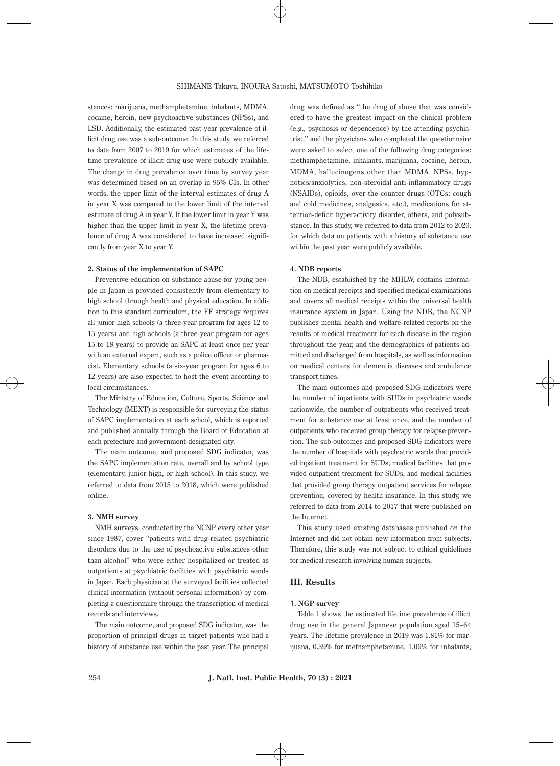stances: marijuana, methamphetamine, inhalants, MDMA, cocaine, heroin, new psychoactive substances (NPSs), and LSD. Additionally, the estimated past-year prevalence of illicit drug use was a sub-outcome. In this study, we referred to data from 2007 to 2019 for which estimates of the lifetime prevalence of illicit drug use were publicly available. The change in drug prevalence over time by survey year was determined based on an overlap in 95% CIs. In other words, the upper limit of the interval estimates of drug A in year X was compared to the lower limit of the interval estimate of drug A in year Y. If the lower limit in year Y was higher than the upper limit in year X, the lifetime prevalence of drug A was considered to have increased significantly from year X to year Y.

#### **2. Status of the implementation of SAPC**

Preventive education on substance abuse for young people in Japan is provided consistently from elementary to high school through health and physical education. In addition to this standard curriculum, the FF strategy requires all junior high schools (a three-year program for ages 12 to 15 years) and high schools (a three-year program for ages 15 to 18 years) to provide an SAPC at least once per year with an external expert, such as a police officer or pharmacist. Elementary schools (a six-year program for ages 6 to 12 years) are also expected to host the event according to local circumstances.

The Ministry of Education, Culture, Sports, Science and Technology (MEXT) is responsible for surveying the status of SAPC implementation at each school, which is reported and published annually through the Board of Education at each prefecture and government-designated city.

The main outcome, and proposed SDG indicator, was the SAPC implementation rate, overall and by school type (elementary, junior high, or high school). In this study, we referred to data from 2015 to 2018, which were published online.

#### **3. NMH survey**

NMH surveys, conducted by the NCNP every other year since 1987, cover "patients with drug-related psychiatric disorders due to the use of psychoactive substances other than alcohol" who were either hospitalized or treated as outpatients at psychiatric facilities with psychiatric wards in Japan. Each physician at the surveyed facilities collected clinical information (without personal information) by completing a questionnaire through the transcription of medical records and interviews.

The main outcome, and proposed SDG indicator, was the proportion of principal drugs in target patients who had a history of substance use within the past year. The principal drug was defined as "the drug of abuse that was considered to have the greatest impact on the clinical problem (e.g., psychosis or dependence) by the attending psychiatrist," and the physicians who completed the questionnaire were asked to select one of the following drug categories: methamphetamine, inhalants, marijuana, cocaine, heroin, MDMA, hallucinogens other than MDMA, NPSs, hypnotics/anxiolytics, non-steroidal anti-inflammatory drugs (NSAIDs), opioids, over-the-counter drugs (OTCs; cough and cold medicines, analgesics, etc.), medications for attention-deficit hyperactivity disorder, others, and polysubstance. In this study, we referred to data from 2012 to 2020, for which data on patients with a history of substance use within the past year were publicly available.

#### **4. NDB reports**

The NDB, established by the MHLW, contains information on medical receipts and specified medical examinations and covers all medical receipts within the universal health insurance system in Japan. Using the NDB, the NCNP publishes mental health and welfare-related reports on the results of medical treatment for each disease in the region throughout the year, and the demographics of patients admitted and discharged from hospitals, as well as information on medical centers for dementia diseases and ambulance transport times.

The main outcomes and proposed SDG indicators were the number of inpatients with SUDs in psychiatric wards nationwide, the number of outpatients who received treatment for substance use at least once, and the number of outpatients who received group therapy for relapse prevention. The sub-outcomes and proposed SDG indicators were the number of hospitals with psychiatric wards that provided inpatient treatment for SUDs, medical facilities that provided outpatient treatment for SUDs, and medical facilities that provided group therapy outpatient services for relapse prevention, covered by health insurance. In this study, we referred to data from 2014 to 2017 that were published on the Internet.

This study used existing databases published on the Internet and did not obtain new information from subjects. Therefore, this study was not subject to ethical guidelines for medical research involving human subjects.

#### **III. Results**

#### **1. NGP survey**

Table 1 shows the estimated lifetime prevalence of illicit drug use in the general Japanese population aged 15–64 years. The lifetime prevalence in 2019 was 1.81% for marijuana, 0.39% for methamphetamine, 1.09% for inhalants,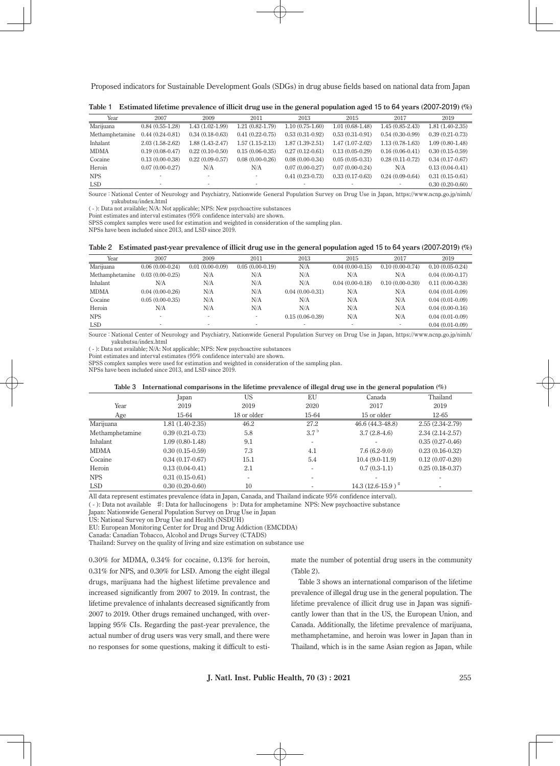| Year            | 2007              | 2009                     | 2011                     | 2013              | 2015                     | 2017              | 2019              |
|-----------------|-------------------|--------------------------|--------------------------|-------------------|--------------------------|-------------------|-------------------|
| Marijuana       | $0.84(0.55-1.28)$ | $1.43(1.02-1.99)$        | $1.21(0.82 - 1.79)$      | $1.10(0.75-1.60)$ | $1.01(0.68-1.48)$        | $1.45(0.85-2.43)$ | $1.81(1.40-2.35)$ |
| Methamphetamine | $0.44(0.24-0.81)$ | $0.34(0.18-0.63)$        | $0.41(0.22-0.75)$        | $0.53(0.31-0.92)$ | $0.53(0.31-0.91)$        | $0.54(0.30-0.99)$ | $0.39(0.21-0.73)$ |
| Inhalant        | $2.03(1.58-2.62)$ | $1.88(1.43-2.47)$        | $1.57(1.15-2.13)$        | $1.87(1.39-2.51)$ | $1.47(1.07-2.02)$        | $1.13(0.78-1.63)$ | $1.09(0.80-1.48)$ |
| <b>MDMA</b>     | $0.19(0.08-0.47)$ | $0.22(0.10-0.50)$        | $0.15(0.06-0.35)$        | $0.27(0.12-0.61)$ | $0.13(0.05-0.29)$        | $0.16(0.06-0.41)$ | $0.30(0.15-0.59)$ |
| Cocaine         | $0.13(0.00-0.38)$ | $0.22(0.09-0.57)$        | $0.08(0.00-0.26)$        | $0.08(0.00-0.34)$ | $0.05(0.05-0.31)$        | $0.28(0.11-0.72)$ | $0.34(0.17-0.67)$ |
| Heroin          | $0.07(0.00-0.27)$ | N/A                      | N/A                      | $0.07(0.00-0.27)$ | $0.07(0.00-0.24)$        | N/A               | $0.13(0.04-0.41)$ |
| <b>NPS</b>      |                   |                          |                          | $0.41(0.23-0.73)$ | $0.33(0.17-0.63)$        | $0.24(0.09-0.64)$ | $0.31(0.15-0.61)$ |
| <b>LSD</b>      |                   | $\overline{\phantom{a}}$ | $\overline{\phantom{a}}$ |                   | $\overline{\phantom{a}}$ |                   | $0.30(0.20-0.60)$ |

**Table 1 Estimated lifetime prevalence of illicit drug use in the general population aged 15 to 64 years (2007-2019) (%)**

Source: National Center of Neurology and Psychiatry, Nationwide General Population Survey on Drug Use in Japan, https://www.ncnp.go.jp/nimh/ yakubutsu/index.html

( - ): Data not available; N/A: Not applicable; NPS: New psychoactive substances

Point estimates and interval estimates (95% confidence intervals) are shown. SPSS complex samples were used for estimation and weighted in consideration of the sampling plan.

NPSs have been included since 2013, and LSD since 2019.

|  | Table 2 Estimated past-year prevalence of illicit drug use in the general population aged 15 to 64 years (2007-2019) (%) |  |  |  |
|--|--------------------------------------------------------------------------------------------------------------------------|--|--|--|
|  |                                                                                                                          |  |  |  |

| Year            | 2007                     | 2009              | 2011              | 2013                     | 2015                     | 2017              | 2019              |
|-----------------|--------------------------|-------------------|-------------------|--------------------------|--------------------------|-------------------|-------------------|
| Marijuana       | $0.06(0.00-0.24)$        | $0.01(0.00-0.09)$ | $0.05(0.00-0.19)$ | N/A                      | $0.04(0.00-0.15)$        | $0.10(0.00-0.74)$ | $0.10(0.05-0.24)$ |
| Methamphetamine | $0.03(0.00-0.25)$        | N/A               | N/A               | N/A                      | N/A                      | N/A               | $0.04(0.00-0.17)$ |
| Inhalant        | N/A                      | N/A               | N/A               | N/A                      | $0.04(0.00-0.18)$        | $0.10(0.00-0.30)$ | $0.11(0.00-0.38)$ |
| <b>MDMA</b>     | $0.04(0.00-0.26)$        | N/A               | N/A               | $0.04(0.00-0.31)$        | N/A                      | N/A               | $0.04(0.01-0.09)$ |
| Cocaine         | $0.05(0.00-0.35)$        | N/A               | N/A               | N/A                      | N/A                      | N/A               | $0.04(0.01-0.09)$ |
| Heroin          | N/A                      | N/A               | N/A               | N/A                      | N/A                      | N/A               | $0.04(0.00-0.16)$ |
| <b>NPS</b>      |                          |                   |                   | $0.15(0.06-0.39)$        | N/A                      | N/A               | $0.04(0.01-0.09)$ |
| <b>LSD</b>      | $\overline{\phantom{a}}$ | ۰                 |                   | $\overline{\phantom{a}}$ | $\overline{\phantom{a}}$ |                   | $0.04(0.01-0.09)$ |

Source: National Center of Neurology and Psychiatry, Nationwide General Population Survey on Drug Use in Japan, https://www.ncnp.go.jp/nimh/ yakubutsu/index.html

( - ): Data not available; N/A: Not applicable; NPS: New psychoactive substances

Point estimates and interval estimates (95% confidence intervals) are shown.

SPSS complex samples were used for estimation and weighted in consideration of the sampling plan.

NPSs have been included since 2013, and LSD since 2019.

|                 | Table 3 Threfhational comparisons in the methine prevalence of megal urug use in the general population (%) |             |                  |                       |                   |  |  |  |  |
|-----------------|-------------------------------------------------------------------------------------------------------------|-------------|------------------|-----------------------|-------------------|--|--|--|--|
|                 | Japan                                                                                                       | US          | ΕU               | Canada                | Thailand          |  |  |  |  |
| Year            | 2019                                                                                                        | 2019        | 2020             | 2017                  | 2019              |  |  |  |  |
| Age             | 15-64                                                                                                       | 18 or older | 15-64            | 15 or older           | $12 - 65$         |  |  |  |  |
| Marijuana       | $1.81(1.40-2.35)$                                                                                           | 46.2        | 27.2             | 46.6 (44.3-48.8)      | $2.55(2.34-2.79)$ |  |  |  |  |
| Methamphetamine | $0.39(0.21-0.73)$                                                                                           | 5.8         | 3.7 <sup>b</sup> | $3.7(2.8-4.6)$        | 2.34 (2.14-2.57)  |  |  |  |  |
| Inhalant        | $1.09(0.80-1.48)$                                                                                           | 9.1         |                  |                       | $0.35(0.27-0.46)$ |  |  |  |  |
| MDMA            | $0.30(0.15-0.59)$                                                                                           | 7.3         | 4.1              | $7.6(6.2-9.0)$        | $0.23(0.16-0.32)$ |  |  |  |  |
| Cocaine         | $0.34(0.17-0.67)$                                                                                           | 15.1        | 5.4              | $10.4(9.0-11.9)$      | $0.12(0.07-0.20)$ |  |  |  |  |
| Heroin          | $0.13(0.04-0.41)$                                                                                           | 2.1         |                  | $0.7(0.3-1.1)$        | $0.25(0.18-0.37)$ |  |  |  |  |
| NPS             | $0.31(0.15-0.61)$                                                                                           | -           |                  |                       |                   |  |  |  |  |
| <b>LSD</b>      | $0.30(0.20-0.60)$                                                                                           | 10          |                  | $14.3(12.6-15.9)^{+}$ |                   |  |  |  |  |

**Table 3 International comparisons in the lifetime prevalence of illegal drug use in the general population (%)**

All data represent estimates prevalence (data in Japan, Canada, and Thailand indicate 95% confidence interval).

( - ): Data not available ♯: Data for hallucinogens ♭: Data for amphetamine NPS: New psychoactive substance

Japan: Nationwide General Population Survey on Drug Use in Japan

US: National Survey on Drug Use and Health (NSDUH)

EU: European Monitoring Center for Drug and Drug Addiction (EMCDDA)

Canada: Canadian Tobacco, Alcohol and Drugs Survey (CTADS)

Thailand: Survey on the quality of living and size estimation on substance use

0.30% for MDMA, 0.34% for cocaine, 0.13% for heroin, 0.31% for NPS, and 0.30% for LSD. Among the eight illegal drugs, marijuana had the highest lifetime prevalence and increased significantly from 2007 to 2019. In contrast, the lifetime prevalence of inhalants decreased significantly from 2007 to 2019. Other drugs remained unchanged, with overlapping 95% CIs. Regarding the past-year prevalence, the actual number of drug users was very small, and there were no responses for some questions, making it difficult to estimate the number of potential drug users in the community  $(Table 2)$ 

Table 3 shows an international comparison of the lifetime prevalence of illegal drug use in the general population. The lifetime prevalence of illicit drug use in Japan was significantly lower than that in the US, the European Union, and Canada. Additionally, the lifetime prevalence of marijuana, methamphetamine, and heroin was lower in Japan than in Thailand, which is in the same Asian region as Japan, while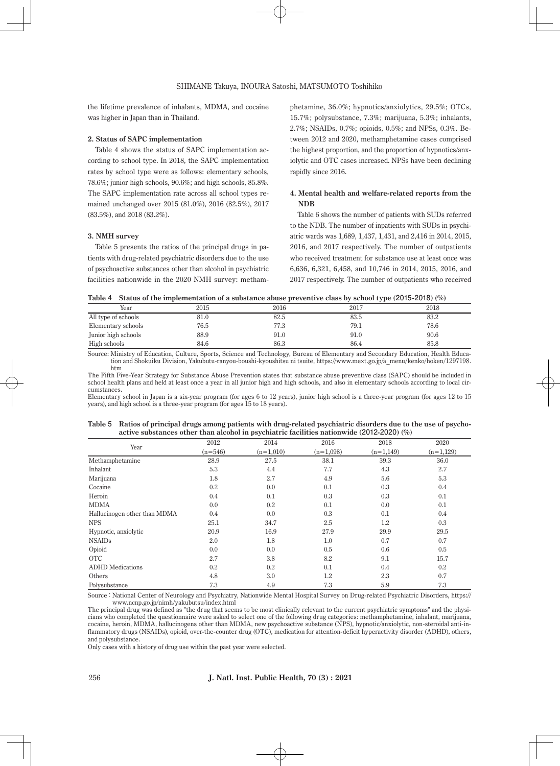the lifetime prevalence of inhalants, MDMA, and cocaine was higher in Japan than in Thailand.

#### **2. Status of SAPC implementation**

Table 4 shows the status of SAPC implementation according to school type. In 2018, the SAPC implementation rates by school type were as follows: elementary schools, 78.6%; junior high schools, 90.6%; and high schools, 85.8%. The SAPC implementation rate across all school types remained unchanged over 2015 (81.0%), 2016 (82.5%), 2017 (83.5%), and 2018 (83.2%).

#### **3. NMH survey**

Table 5 presents the ratios of the principal drugs in patients with drug-related psychiatric disorders due to the use of psychoactive substances other than alcohol in psychiatric facilities nationwide in the 2020 NMH survey: methamphetamine, 36.0%; hypnotics/anxiolytics, 29.5%; OTCs, 15.7%; polysubstance, 7.3%; marijuana, 5.3%; inhalants, 2.7%; NSAIDs, 0.7%; opioids, 0.5%; and NPSs, 0.3%. Between 2012 and 2020, methamphetamine cases comprised the highest proportion, and the proportion of hypnotics/anxiolytic and OTC cases increased. NPSs have been declining rapidly since 2016.

# **4. Mental health and welfare-related reports from the NDB**

Table 6 shows the number of patients with SUDs referred to the NDB. The number of inpatients with SUDs in psychiatric wards was 1,689, 1,437, 1,431, and 2,416 in 2014, 2015, 2016, and 2017 respectively. The number of outpatients who received treatment for substance use at least once was 6,636, 6,321, 6,458, and 10,746 in 2014, 2015, 2016, and 2017 respectively. The number of outpatients who received

|  | Table 4 Status of the implementation of a substance abuse preventive class by school type (2015-2018) (%) |  |  |
|--|-----------------------------------------------------------------------------------------------------------|--|--|
|--|-----------------------------------------------------------------------------------------------------------|--|--|

| Year                | 2015 | 2016 | 2017 | 2018 |
|---------------------|------|------|------|------|
| All type of schools | 81.0 | 82.5 | 83.5 | 83.2 |
| Elementary schools  | 76.5 | 77.3 | 79.1 | 78.6 |
| Junior high schools | 88.9 | 91.0 | 91.0 | 90.6 |
| High schools        | 84.6 | 86.3 | 86.4 | 85.8 |

Source: Ministry of Education, Culture, Sports, Science and Technology, Bureau of Elementary and Secondary Education, Health Education and Shokuiku Division, Yakubutu-ranyou-boushi-kyoushitsu ni tsuite, https://www.mext.go.jp/a\_menu/kenko/hoken/1297198. htm

The Fifth Five-Year Strategy for Substance Abuse Prevention states that substance abuse preventive class (SAPC) should be included in school health plans and held at least once a year in all junior high and high schools, and also in elementary schools according to local circumstances.

Elementary school in Japan is a six-year program (for ages 6 to 12 years), junior high school is a three-year program (for ages 12 to 15 years), and high school is a three-year program (for ages 15 to 18 years).

| Table 5 Ratios of principal drugs among patients with drug-related psychiatric disorders due to the use of psycho- |
|--------------------------------------------------------------------------------------------------------------------|
| active substances other than alcohol in psychiatric facilities nationwide (2012-2020) $(\%)$                       |

|                              | 2012      | 2014        | 2016        | 2018        | 2020        |
|------------------------------|-----------|-------------|-------------|-------------|-------------|
| Year                         | $(n=546)$ | $(n=1,010)$ | $(n=1,098)$ | $(n=1,149)$ | $(n=1,129)$ |
|                              |           |             |             |             |             |
| Methamphetamine              | 28.9      | 27.5        | 38.1        | 39.3        | 36.0        |
| Inhalant                     | 5.3       | 4.4         | 7.7         | 4.3         | 2.7         |
| Marijuana                    | 1.8       | 2.7         | 4.9         | 5.6         | 5.3         |
| Cocaine                      | 0.2       | 0.0         | 0.1         | 0.3         | 0.4         |
| Heroin                       | 0.4       | 0.1         | 0.3         | 0.3         | 0.1         |
| <b>MDMA</b>                  | 0.0       | 0.2         | 0.1         | 0.0         | 0.1         |
| Hallucinogen other than MDMA | 0.4       | 0.0         | 0.3         | 0.1         | 0.4         |
| <b>NPS</b>                   | 25.1      | 34.7        | 2.5         | 1.2         | 0.3         |
| Hypnotic, anxiolytic         | 20.9      | 16.9        | 27.9        | 29.9        | 29.5        |
| <b>NSAIDs</b>                | 2.0       | 1.8         | 1.0         | 0.7         | 0.7         |
| Opioid                       | 0.0       | 0.0         | 0.5         | 0.6         | 0.5         |
| <b>OTC</b>                   | 2.7       | 3.8         | 8.2         | 9.1         | 15.7        |
| <b>ADHD</b> Medications      | 0.2       | $0.2\,$     | 0.1         | 0.4         | $0.2\,$     |
| Others                       | 4.8       | 3.0         | $1.2\,$     | 2.3         | 0.7         |
| Polysubstance                | 7.3       | 4.9         | 7.3         | 5.9         | 7.3         |

Source: National Center of Neurology and Psychiatry, Nationwide Mental Hospital Survey on Drug-related Psychiatric Disorders, https:// www.ncnp.go.jp/nimh/yakubutsu/index.html

The principal drug was defined as "the drug that seems to be most clinically relevant to the current psychiatric symptoms" and the physicians who completed the questionnaire were asked to select one of the following drug categories: methamphetamine, inhalant, marijuana, cocaine, heroin, MDMA, hallucinogens other than MDMA, new psychoactive substance (NPS), hypnotic/anxiolytic, non-steroidal anti-inflammatory drugs (NSAIDs), opioid, over-the-counter drug (OTC), medication for attention-deficit hyperactivity disorder (ADHD), others, and polysubstance.

Only cases with a history of drug use within the past year were selected.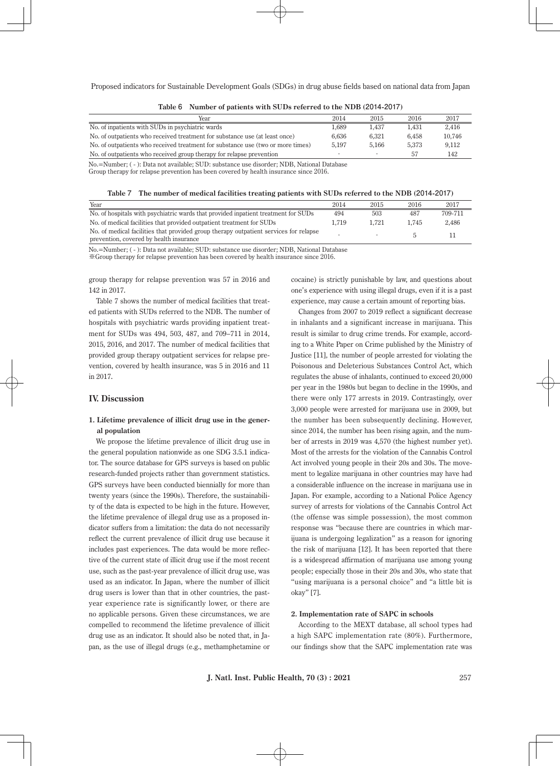| Year                                                                            | 2014  | 2015  | 2016  | 2017   |
|---------------------------------------------------------------------------------|-------|-------|-------|--------|
| No. of inpatients with SUDs in psychiatric wards                                | 1.689 | 1.437 | 1.431 | 2.416  |
| No. of outpatients who received treatment for substance use (at least once)     | 6.636 | 6.321 | 6.458 | 10.746 |
| No. of outpatients who received treatment for substance use (two or more times) | 5.197 | 5.166 | 5.373 | 9.112  |
| No. of outpatients who received group therapy for relapse prevention            |       |       | .57   | 142    |

|  |  |  |  |  |  | Table 6 Number of patients with SUDs referred to the NDB (2014-2017) |
|--|--|--|--|--|--|----------------------------------------------------------------------|
|--|--|--|--|--|--|----------------------------------------------------------------------|

No.=Number; ( - ): Data not available; SUD: substance use disorder; NDB, National Database Group therapy for relapse prevention has been covered by health insurance since 2016.

**Table 7 The number of medical facilities treating patients with SUDs referred to the NDB (2014-2017)**

| Year                                                                                                                             | 2014  | 2015  | 2016  | 2017    |
|----------------------------------------------------------------------------------------------------------------------------------|-------|-------|-------|---------|
| No. of hospitals with psychiatric wards that provided inpatient treatment for SUDs                                               | 494   | 503   | 487   | 709-711 |
| No. of medical facilities that provided outpatient treatment for SUDs                                                            | 1.719 | 1.721 | 1.745 | 2.486   |
| No. of medical facilities that provided group therapy outpatient services for relapse<br>prevention, covered by health insurance |       |       |       |         |

No.=Number; ( - ): Data not available; SUD: substance use disorder; NDB, National Database

※Group therapy for relapse prevention has been covered by health insurance since 2016.

group therapy for relapse prevention was 57 in 2016 and 142 in 2017.

Table 7 shows the number of medical facilities that treated patients with SUDs referred to the NDB. The number of hospitals with psychiatric wards providing inpatient treatment for SUDs was 494, 503, 487, and 709–711 in 2014, 2015, 2016, and 2017. The number of medical facilities that provided group therapy outpatient services for relapse prevention, covered by health insurance, was 5 in 2016 and 11 in 2017.

#### **IV. Discussion**

# **1. Lifetime prevalence of illicit drug use in the general population**

We propose the lifetime prevalence of illicit drug use in the general population nationwide as one SDG 3.5.1 indicator. The source database for GPS surveys is based on public research-funded projects rather than government statistics. GPS surveys have been conducted biennially for more than twenty years (since the 1990s). Therefore, the sustainability of the data is expected to be high in the future. However, the lifetime prevalence of illegal drug use as a proposed indicator suffers from a limitation: the data do not necessarily reflect the current prevalence of illicit drug use because it includes past experiences. The data would be more reflective of the current state of illicit drug use if the most recent use, such as the past-year prevalence of illicit drug use, was used as an indicator. In Japan, where the number of illicit drug users is lower than that in other countries, the pastyear experience rate is significantly lower, or there are no applicable persons. Given these circumstances, we are compelled to recommend the lifetime prevalence of illicit drug use as an indicator. It should also be noted that, in Japan, as the use of illegal drugs (e.g., methamphetamine or

cocaine) is strictly punishable by law, and questions about one's experience with using illegal drugs, even if it is a past experience, may cause a certain amount of reporting bias.

Changes from 2007 to 2019 reflect a significant decrease in inhalants and a significant increase in marijuana. This result is similar to drug crime trends. For example, according to a White Paper on Crime published by the Ministry of Justice [11], the number of people arrested for violating the Poisonous and Deleterious Substances Control Act, which regulates the abuse of inhalants, continued to exceed 20,000 per year in the 1980s but began to decline in the 1990s, and there were only 177 arrests in 2019. Contrastingly, over 3,000 people were arrested for marijuana use in 2009, but the number has been subsequently declining. However, since 2014, the number has been rising again, and the number of arrests in 2019 was 4,570 (the highest number yet). Most of the arrests for the violation of the Cannabis Control Act involved young people in their 20s and 30s. The movement to legalize marijuana in other countries may have had a considerable influence on the increase in marijuana use in Japan. For example, according to a National Police Agency survey of arrests for violations of the Cannabis Control Act (the offense was simple possession), the most common response was "because there are countries in which marijuana is undergoing legalization" as a reason for ignoring the risk of marijuana [12]. It has been reported that there is a widespread affirmation of marijuana use among young people; especially those in their 20s and 30s, who state that "using marijuana is a personal choice" and "a little bit is okay" [7].

#### **2. Implementation rate of SAPC in schools**

According to the MEXT database, all school types had a high SAPC implementation rate (80%). Furthermore, our findings show that the SAPC implementation rate was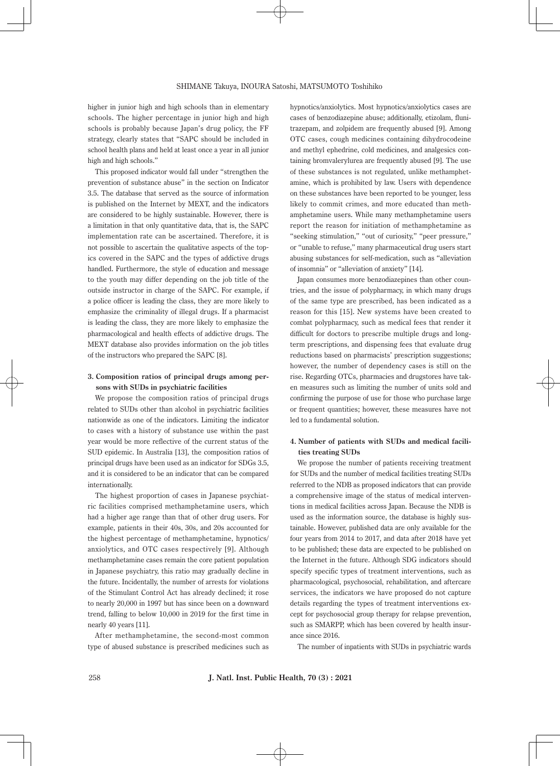higher in junior high and high schools than in elementary schools. The higher percentage in junior high and high schools is probably because Japan's drug policy, the FF strategy, clearly states that "SAPC should be included in school health plans and held at least once a year in all junior high and high schools."

This proposed indicator would fall under "strengthen the prevention of substance abuse" in the section on Indicator 3.5. The database that served as the source of information is published on the Internet by MEXT, and the indicators are considered to be highly sustainable. However, there is a limitation in that only quantitative data, that is, the SAPC implementation rate can be ascertained. Therefore, it is not possible to ascertain the qualitative aspects of the topics covered in the SAPC and the types of addictive drugs handled. Furthermore, the style of education and message to the youth may differ depending on the job title of the outside instructor in charge of the SAPC. For example, if a police officer is leading the class, they are more likely to emphasize the criminality of illegal drugs. If a pharmacist is leading the class, they are more likely to emphasize the pharmacological and health effects of addictive drugs. The MEXT database also provides information on the job titles of the instructors who prepared the SAPC [8].

# **3. Composition ratios of principal drugs among persons with SUDs in psychiatric facilities**

We propose the composition ratios of principal drugs related to SUDs other than alcohol in psychiatric facilities nationwide as one of the indicators. Limiting the indicator to cases with a history of substance use within the past year would be more reflective of the current status of the SUD epidemic. In Australia [13], the composition ratios of principal drugs have been used as an indicator for SDGs 3.5, and it is considered to be an indicator that can be compared internationally.

The highest proportion of cases in Japanese psychiatric facilities comprised methamphetamine users, which had a higher age range than that of other drug users. For example, patients in their 40s, 30s, and 20s accounted for the highest percentage of methamphetamine, hypnotics/ anxiolytics, and OTC cases respectively [9]. Although methamphetamine cases remain the core patient population in Japanese psychiatry, this ratio may gradually decline in the future. Incidentally, the number of arrests for violations of the Stimulant Control Act has already declined; it rose to nearly 20,000 in 1997 but has since been on a downward trend, falling to below 10,000 in 2019 for the first time in nearly 40 years [11].

After methamphetamine, the second-most common type of abused substance is prescribed medicines such as hypnotics/anxiolytics. Most hypnotics/anxiolytics cases are cases of benzodiazepine abuse; additionally, etizolam, flunitrazepam, and zolpidem are frequently abused [9]. Among OTC cases, cough medicines containing dihydrocodeine and methyl ephedrine, cold medicines, and analgesics containing bromvalerylurea are frequently abused [9]. The use of these substances is not regulated, unlike methamphetamine, which is prohibited by law. Users with dependence on these substances have been reported to be younger, less likely to commit crimes, and more educated than methamphetamine users. While many methamphetamine users report the reason for initiation of methamphetamine as "seeking stimulation," "out of curiosity," "peer pressure," or "unable to refuse," many pharmaceutical drug users start abusing substances for self-medication, such as "alleviation of insomnia" or "alleviation of anxiety" [14].

Japan consumes more benzodiazepines than other countries, and the issue of polypharmacy, in which many drugs of the same type are prescribed, has been indicated as a reason for this [15]. New systems have been created to combat polypharmacy, such as medical fees that render it difficult for doctors to prescribe multiple drugs and longterm prescriptions, and dispensing fees that evaluate drug reductions based on pharmacists' prescription suggestions; however, the number of dependency cases is still on the rise. Regarding OTCs, pharmacies and drugstores have taken measures such as limiting the number of units sold and confirming the purpose of use for those who purchase large or frequent quantities; however, these measures have not led to a fundamental solution.

# **4. Number of patients with SUDs and medical facilities treating SUDs**

We propose the number of patients receiving treatment for SUDs and the number of medical facilities treating SUDs referred to the NDB as proposed indicators that can provide a comprehensive image of the status of medical interventions in medical facilities across Japan. Because the NDB is used as the information source, the database is highly sustainable. However, published data are only available for the four years from 2014 to 2017, and data after 2018 have yet to be published; these data are expected to be published on the Internet in the future. Although SDG indicators should specify specific types of treatment interventions, such as pharmacological, psychosocial, rehabilitation, and aftercare services, the indicators we have proposed do not capture details regarding the types of treatment interventions except for psychosocial group therapy for relapse prevention, such as SMARPP, which has been covered by health insurance since 2016.

The number of inpatients with SUDs in psychiatric wards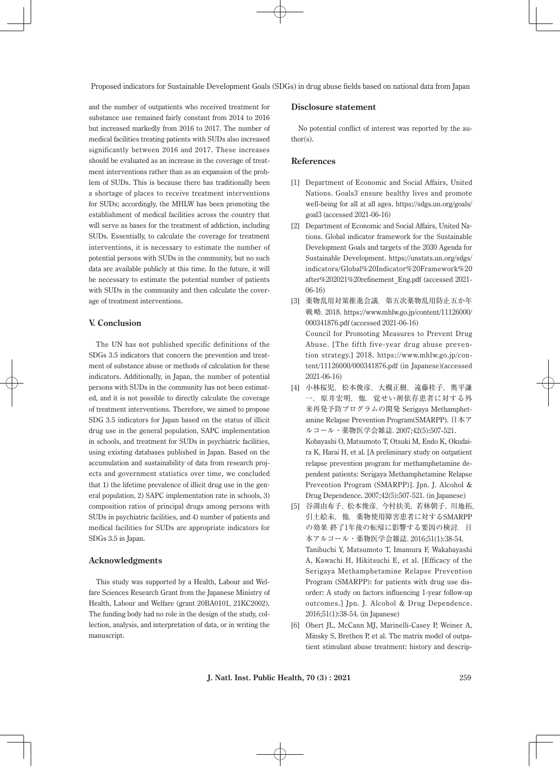and the number of outpatients who received treatment for substance use remained fairly constant from 2014 to 2016 but increased markedly from 2016 to 2017. The number of medical facilities treating patients with SUDs also increased significantly between 2016 and 2017. These increases should be evaluated as an increase in the coverage of treatment interventions rather than as an expansion of the problem of SUDs. This is because there has traditionally been a shortage of places to receive treatment interventions for SUDs; accordingly, the MHLW has been promoting the establishment of medical facilities across the country that will serve as bases for the treatment of addiction, including SUDs. Essentially, to calculate the coverage for treatment interventions, it is necessary to estimate the number of potential persons with SUDs in the community, but no such data are available publicly at this time. In the future, it will be necessary to estimate the potential number of patients with SUDs in the community and then calculate the coverage of treatment interventions.

# **V. Conclusion**

The UN has not published specific definitions of the SDGs 3.5 indicators that concern the prevention and treatment of substance abuse or methods of calculation for these indicators. Additionally, in Japan, the number of potential persons with SUDs in the community has not been estimated, and it is not possible to directly calculate the coverage of treatment interventions. Therefore, we aimed to propose SDG 3.5 indicators for Japan based on the status of illicit drug use in the general population, SAPC implementation in schools, and treatment for SUDs in psychiatric facilities, using existing databases published in Japan. Based on the accumulation and sustainability of data from research projects and government statistics over time, we concluded that 1) the lifetime prevalence of illicit drug use in the general population, 2) SAPC implementation rate in schools, 3) composition ratios of principal drugs among persons with SUDs in psychiatric facilities, and 4) number of patients and medical facilities for SUDs are appropriate indicators for SDGs 3.5 in Japan.

# **Acknowledgments**

This study was supported by a Health, Labour and Welfare Sciences Research Grant from the Japanese Ministry of Health, Labour and Welfare (grant 20BA0101, 21KC2002). The funding body had no role in the design of the study, collection, analysis, and interpretation of data, or in writing the manuscript.

# **Disclosure statement**

No potential conflict of interest was reported by the author(s).

# **References**

- [1] Department of Economic and Social Affairs, United Nations. Goals3 ensure healthy lives and promote well-being for all at all ages. https://sdgs.un.org/goals/ goal3 (accessed 2021-06-16)
- [2] Department of Economic and Social Affairs, United Nations. Global indicator framework for the Sustainable Development Goals and targets of the 2030 Agenda for Sustainable Development. https://unstats.un.org/sdgs/ indicators/Global%20Indicator%20Framework%20 after%202021%20refinement\_Eng.pdf (accessed 2021- 06-16)
- [3] 薬物乱用対策推進会議.第五次薬物乱用防止五か年 戦略. 2018. https://www.mhlw.go.jp/content/11126000/ 000341876.pdf (accessed 2021-06-16) Council for Promoting Measures to Prevent Drug Abuse. [The fifth five-year drug abuse prevention strategy.] 2018. https://www.mhlw.go.jp/content/11126000/000341876.pdf (in Japanese)(accessed 2021-06-16)
- [4] 小林桜児, 松本俊彦, 大槻正樹, 遠藤桂子, 奥平謙 一,原井宏明,他. 覚せい剤依存患者に対する外 来再発予防プログラムの開発 Serigaya Methamphetamine Relapse Prevention Program(SMARPP). 日本ア ルコール・薬物医学会雑誌.2007;42(5):507-521. Kobayashi O, Matsumoto T, Otsuki M, Endo K, Okudaira K, Harai H, et al. [A preliminary study on outpatient relapse prevention program for methamphetamine dependent patients: Serigaya Methamphetamine Relapse Prevention Program (SMARPP)]. Jpn. J. Alcohol & Drug Dependence. 2007;42(5):507-521. (in Japanese)
- [5] 谷渕由布子,松本俊彦,今村扶美,若林朝子,川地拓, 引土絵未,他. 薬物使用障害患者に対するSMARPP の効果 終了1年後の転帰に影響する要因の検討. 日 本アルコール・薬物医学会雑誌.2016;51(1):38-54. Tanibuchi Y, Matsumoto T, Imamura F, Wakabayashi A, Kawachi H, Hikitsuchi E, et al. [Efficacy of the Serigaya Methamphetamine Relapse Prevention Program (SMARPP): for patients with drug use disorder: A study on factors influencing 1-year follow-up outcomes.] Jpn. J. Alcohol & Drug Dependence. 2016;51(1):38-54. (in Japanese)
- [6] Obert JL, McCann MJ, Marinelli-Casey P, Weiner A, Minsky S, Brethen P, et al. The matrix model of outpatient stimulant abuse treatment: history and descrip-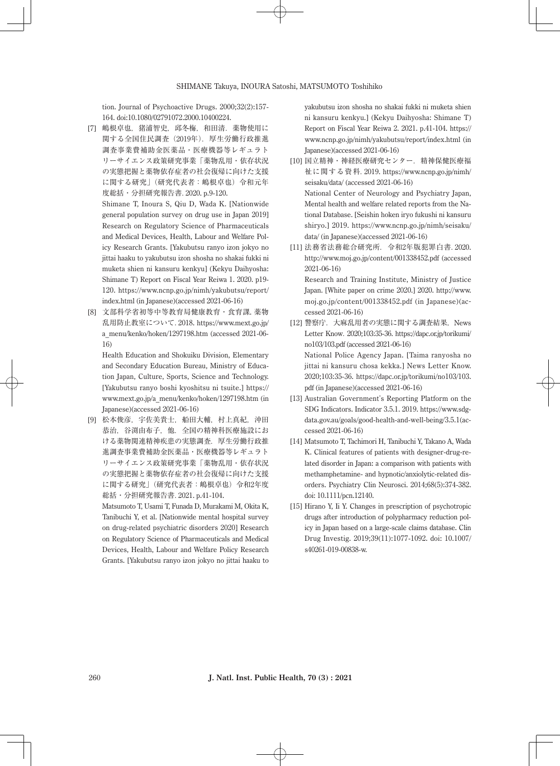tion. Journal of Psychoactive Drugs. 2000;32(2):157- 164. doi:10.1080/02791072.2000.10400224.

[7] 嶋根卓也,猪浦智史,邱冬梅,和田清.薬物使用に 関する全国住民調査(2019年).厚生労働行政推進 調査事業費補助金医薬品・医療機器等レギュラト リーサイエンス政策研究事業「薬物乱用・依存状況 の実態把握と薬物依存症者の社会復帰に向けた支援 に関する研究」(研究代表者:嶋根卓也)令和元年 度総括・分担研究報告書.2020. p.9-120.

 Shimane T, Inoura S, Qiu D, Wada K. [Nationwide general population survey on drug use in Japan 2019] Research on Regulatory Science of Pharmaceuticals and Medical Devices, Health, Labour and Welfare Policy Research Grants. [Yakubutsu ranyo izon jokyo no jittai haaku to yakubutsu izon shosha no shakai fukki ni muketa shien ni kansuru kenkyu] (Kekyu Daihyosha: Shimane T) Report on Fiscal Year Reiwa 1. 2020. p19- 120. https://www.ncnp.go.jp/nimh/yakubutsu/report/ index.html (in Japanese)(accessed 2021-06-16)

[8] 文部科学省初等中等教育局健康教育・食育課. 薬物 乱用防止教室について.2018. https://www.mext.go.jp/ a\_menu/kenko/hoken/1297198.htm (accessed 2021-06- 16)

 Health Education and Shokuiku Division, Elementary and Secondary Education Bureau, Ministry of Education Japan, Culture, Sports, Science and Technology. [Yakubutsu ranyo boshi kyoshitsu ni tsuite.] https:// www.mext.go.jp/a\_menu/kenko/hoken/1297198.htm (in Japanese)(accessed 2021-06-16)

[9] 松本俊彦,宇佐美貴士,船田大輔,村上真紀,沖田 恭治,谷渕由布子,他.全国の精神科医療施設にお ける薬物関連精神疾患の実態調査. 厚生労働行政推 進調査事業費補助金医薬品・医療機器等レギュラト リーサイエンス政策研究事業「薬物乱用・依存状況 の実態把握と薬物依存症者の社会復帰に向けた支援 に関する研究」(研究代表者:嶋根卓也)令和2年度 総括・分担研究報告書.2021. p.41-104.

 Matsumoto T, Usami T, Funada D, Murakami M, Okita K, Tanibuchi Y, et al. [Nationwide mental hospital survey on drug-related psychiatric disorders 2020] Research on Regulatory Science of Pharmaceuticals and Medical Devices, Health, Labour and Welfare Policy Research Grants. [Yakubutsu ranyo izon jokyo no jittai haaku to yakubutsu izon shosha no shakai fukki ni muketa shien ni kansuru kenkyu.] (Kekyu Daihyosha: Shimane T) Report on Fiscal Year Reiwa 2. 2021. p.41-104. https:// www.ncnp.go.jp/nimh/yakubutsu/report/index.html (in Japanese)(accessed 2021-06-16)

- [10] 国立精神・神経医療研究センター.精神保健医療福 祉に関する資料.2019. https://www.ncnp.go.jp/nimh/ seisaku/data/ (accessed 2021-06-16) National Center of Neurology and Psychiatry Japan, Mental health and welfare related reports from the National Database. [Seishin hoken iryo fukushi ni kansuru shiryo.] 2019. https://www.ncnp.go.jp/nimh/seisaku/ data/ (in Japanese)(accessed 2021-06-16)
- [11] 法務省法務総合研究所.令和2年版犯罪白書.2020. http://www.moj.go.jp/content/001338452.pdf (accessed 2021-06-16) Research and Training Institute, Ministry of Justice Japan. [White paper on crime 2020.] 2020. http://www. moj.go.jp/content/001338452.pdf (in Japanese)(accessed 2021-06-16)
- [12] 警察庁. 大麻乱用者の実態に関する調査結果, News Letter Know.2020;103:35-36. https://dapc.or.jp/torikumi/ no103/103.pdf (accessed 2021-06-16) National Police Agency Japan. [Taima ranyosha no jittai ni kansuru chosa kekka.] News Letter Know. 2020;103:35-36. https://dapc.or.jp/torikumi/no103/103. pdf (in Japanese)(accessed 2021-06-16)
- [13] Australian Government's Reporting Platform on the SDG Indicators. Indicator 3.5.1. 2019. https://www.sdgdata.gov.au/goals/good-health-and-well-being/3.5.1(accessed 2021-06-16)
- [14] Matsumoto T, Tachimori H, Tanibuchi Y, Takano A, Wada K. Clinical features of patients with designer-drug-related disorder in Japan: a comparison with patients with methamphetamine- and hypnotic/anxiolytic-related disorders. Psychiatry Clin Neurosci. 2014;68(5):374-382. doi: 10.1111/pcn.12140.
- [15] Hirano Y, Ii Y. Changes in prescription of psychotropic drugs after introduction of polypharmacy reduction policy in Japan based on a large-scale claims database. Clin Drug Investig. 2019;39(11):1077-1092. doi: 10.1007/ s40261-019-00838-w.